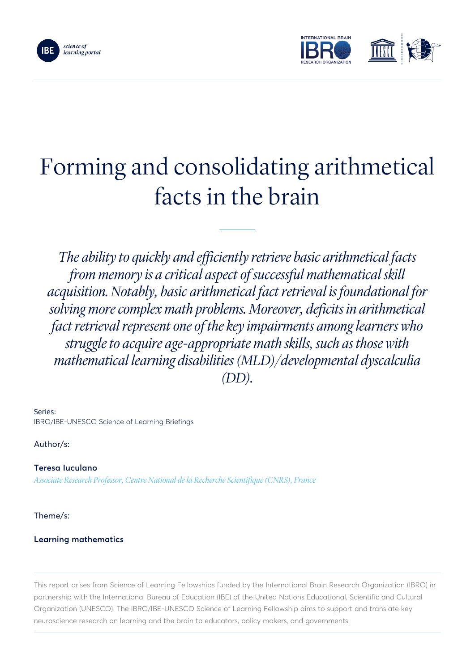



# Forming and consolidating arithmetical facts in the brain

*The ability to quickly and efficiently retrieve basic arithmetical facts from memory is a critical aspect of successful mathematical skill acquisition. Notably, basic arithmetical fact retrieval is foundational for solving more complex math problems. Moreover, deficits in arithmetical fact retrieval represent one of the key impairments among learners who struggle to acquire age-appropriate math skills, such as those with mathematical learning disabilities (MLD)/developmental dyscalculia (DD).*

Series: IBRO/IBE-UNESCO Science of Learning Briefings

Author/s:

Teresa Iuculano *Associate Research Professor, Centre National de la Recherche Scientifique (CNRS), France*

Theme/s:

## Learning mathematics

This report arises from Science of Learning Fellowships funded by the International Brain Research Organization (IBRO) in partnership with the International Bureau of Education (IBE) of the United Nations Educational, Scientific and Cultural Organization (UNESCO). The IBRO/IBE-UNESCO Science of Learning Fellowship aims to support and translate key neuroscience research on learning and the brain to educators, policy makers, and governments.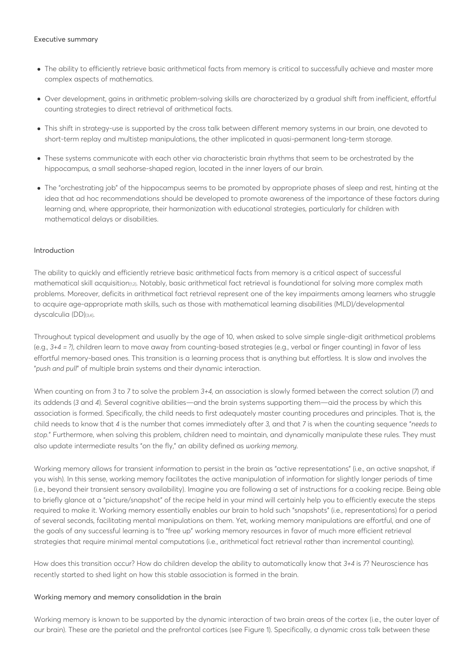#### Executive summary

- The ability to efficiently retrieve basic arithmetical facts from memory is critical to successfully achieve and master more complex aspects of mathematics.
- Over development, gains in arithmetic problem-solving skills are characterized by a gradual shift from inefficient, effortful counting strategies to direct retrieval of arithmetical facts.
- This shift in strategy-use is supported by the cross talk between different memory systems in our brain, one devoted to short-term replay and multistep manipulations, the other implicated in quasi-permanent long-term storage.
- These systems communicate with each other via characteristic brain rhythms that seem to be orchestrated by the hippocampus, a small seahorse-shaped region, located in the inner layers of our brain.
- The "orchestrating job" of the hippocampus seems to be promoted by appropriate phases of sleep and rest, hinting at the idea that ad hoc recommendations should be developed to promote awareness of the importance of these factors during learning and, where appropriate, their harmonization with educational strategies, particularly for children with mathematical delays or disabilities.

### Introduction

The ability to quickly and efficiently retrieve basic arithmetical facts from memory is a critical aspect of successful mathematical skill acquisition<sub>[1,2]</sub>. Notably, basic arithmetical fact retrieval is foundational for solving more complex math problems. Moreover, deficits in arithmetical fact retrieval represent one of the key impairments among learners who struggle to acquire age-appropriate math skills, such as those with mathematical learning disabilities (MLD)/developmental dyscalculia (DD)[3,4].

Throughout typical development and usually by the age of 10, when asked to solve simple single-digit arithmetical problems (e.g., *3+4 = ?)*, children learn to move away from counting-based strategies (e.g., verbal or finger counting) in favor of less effortful memory-based ones. This transition is a learning process that is anything but effortless. It is slow and involves the "*push and pull*" of multiple brain systems and their dynamic interaction.

When counting on from *3* to *7* to solve the problem *3+4,* an association is slowly formed between the correct solution (*7*) and its addends (*3* and *4*). Several cognitive abilities—and the brain systems supporting them—aid the process by which this association is formed. Specifically, the child needs to first adequately master counting procedures and principles. That is, the child needs to know that *4* is the number that comes immediately after *3,* and that *7* is when the counting sequence "*needs to stop.*" Furthermore, when solving this problem, children need to maintain, and dynamically manipulate these rules. They must also update intermediate results "on the fly," an ability defined as *working memory*.

Working memory allows for transient information to persist in the brain as "active representations" (i.e., an active snapshot, if you wish). In this sense, working memory facilitates the active manipulation of information for slightly longer periods of time (i.e., beyond their transient sensory availability). Imagine you are following a set of instructions for a cooking recipe. Being able to briefly glance at a "picture/snapshot" of the recipe held in your mind will certainly help you to efficiently execute the steps required to make it. Working memory essentially enables our brain to hold such "snapshots" (i.e., representations) for a period of several seconds, facilitating mental manipulations on them. Yet, working memory manipulations are effortful, and one of the goals of any successful learning is to "free up" working memory resources in favor of much more efficient retrieval strategies that require minimal mental computations (i.e., arithmetical fact retrieval rather than incremental counting).

How does this transition occur? How do children develop the ability to automatically know that *3+4* is *7*? Neuroscience has recently started to shed light on how this stable association is formed in the brain.

### Working memory and memory consolidation in the brain

Working memory is known to be supported by the dynamic interaction of two brain areas of the cortex (i.e., the outer layer of our brain). These are the parietal and the prefrontal cortices (see Figure 1). Specifically, a dynamic cross talk between these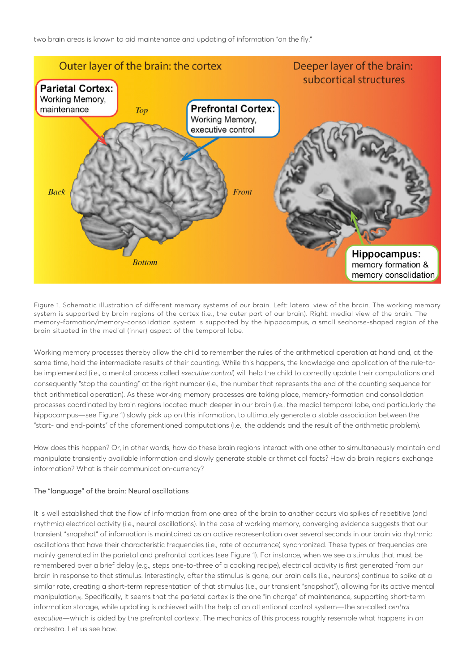two brain areas is known to aid maintenance and updating of information "on the fly."



Figure 1. Schematic illustration of different memory systems of our brain. Left: lateral view of the brain. The working memory system is supported by brain regions of the cortex (i.e., the outer part of our brain). Right: medial view of the brain. The memory-formation/memory-consolidation system is supported by the hippocampus, a small seahorse-shaped region of the brain situated in the medial (inner) aspect of the temporal lobe.

Working memory processes thereby allow the child to remember the rules of the arithmetical operation at hand and, at the same time, hold the intermediate results of their counting. While this happens, the knowledge and application of the rule-tobe implemented (i.e., a mental process called *executive control*) will help the child to correctly update their computations and consequently "stop the counting" at the right number (i.e., the number that represents the end of the counting sequence for that arithmetical operation). As these working memory processes are taking place, memory-formation and consolidation processes coordinated by brain regions located much deeper in our brain (i.e., the medial temporal lobe, and particularly the hippocampus—see Figure 1) slowly pick up on this information, to ultimately generate a stable association between the "start- and end-points" of the aforementioned computations (i.e., the addends and the result of the arithmetic problem).

How does this happen? Or, in other words, how do these brain regions interact with one other to simultaneously maintain and manipulate transiently available information and slowly generate stable arithmetical facts? How do brain regions exchange information? What is their communication-currency?

### The "language" of the brain: Neural oscillations

It is well established that the flow of information from one area of the brain to another occurs via spikes of repetitive (and rhythmic) electrical activity (i.e., neural oscillations). In the case of working memory, converging evidence suggests that our transient "snapshot" of information is maintained as an active representation over several seconds in our brain via rhythmic oscillations that have their characteristic frequencies (i.e., rate of occurrence) synchronized. These types of frequencies are mainly generated in the parietal and prefrontal cortices (see Figure 1). For instance, when we see a stimulus that must be remembered over a brief delay (e.g., steps one-to-three of a cooking recipe), electrical activity is first generated from our brain in response to that stimulus. Interestingly, after the stimulus is gone, our brain cells (i.e., neurons) continue to spike at a similar rate, creating a short-term representation of that stimulus (i.e., our transient "snapshot"), allowing for its active mental manipulation[5]. Specifically, it seems that the parietal cortex is the one "in charge" of maintenance, supporting short-term information storage, while updating is achieved with the help of an attentional control system—the so-called *central executive—*which is aided by the prefrontal cortex[6]. The mechanics of this process roughly resemble what happens in an orchestra. Let us see how.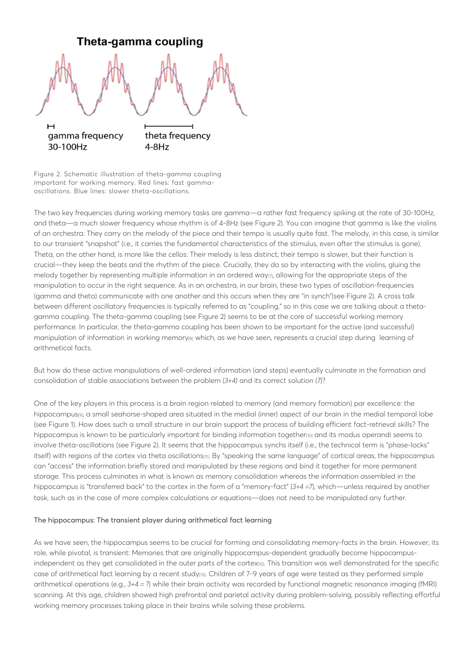![](_page_3_Figure_0.jpeg)

Figure 2. Schematic illustration of theta-gamma coupling important for working memory. Red lines: fast gammaoscillations. Blue lines: slower theta-oscillations.

The two key frequencies during working memory tasks are gamma—a rather fast frequency spiking at the rate of 30-100Hz, and theta—a much slower frequency whose rhythm is of 4-8Hz (see Figure 2). You can imagine that gamma is like the violins of an orchestra: They carry on the melody of the piece and their tempo is usually quite fast. The melody, in this case, is similar to our transient "snapshot" (i.e., it carries the fundamental characteristics of the stimulus, even after the stimulus is gone). Theta, on the other hand, is more like the cellos: Their melody is less distinct, their tempo is slower, but their function is crucial—they keep the beats and the rhythm of the piece. Crucially, they do so by interacting with the violins, gluing the melody together by representing multiple information in an ordered way<sub>[7]</sub>, allowing for the appropriate steps of the manipulation to occur in the right sequence. As in an orchestra, in our brain, these two types of oscillation-frequencies (gamma and theta) communicate with one another and this occurs when they are "in synch"(see Figure 2). A cross talk between different oscillatory frequencies is typically referred to as "coupling," so in this case we are talking about a thetagamma coupling. The theta-gamma coupling (see Figure 2) seems to be at the core of successful working memory performance. In particular, the theta-gamma coupling has been shown to be important for the active (and successful) manipulation of information in working memory[8] which, as we have seen, represents a crucial step during learning of arithmetical facts.

But how do these active manipulations of well-ordered information (and steps) eventually culminate in the formation and consolidation of stable associations between the problem (*3+4)* and its correct solution (*7*)?

One of the key players in this process is a brain region related to memory (and memory formation) par excellence: the hippocampus[9], a small seahorse-shaped area situated in the medial (inner) aspect of our brain in the medial temporal lobe (see Figure 1). How does such a small structure in our brain support the process of building efficient fact-retrieval skills? The hippocampus is known to be particularly important for binding information together<sub>[10]</sub> and its modus operandi seems to involve theta-oscillations (see Figure 2). It seems that the hippocampus synchs itself (i.e., the technical term is "phase-locks" itself) with regions of the cortex via theta oscillations[11]. By "speaking the same language" of cortical areas, the hippocampus can "access" the information briefly stored and manipulated by these regions and bind it together for more permanent storage. This process culminates in what is known as memory consolidation whereas the information assembled in the hippocampus is "transferred back" to the cortex in the form of a "memory-fact" (*3+4 =7*), which—unless required by another task, such as in the case of more complex calculations or equations—does not need to be manipulated any further.

### The hippocampus: The transient player during arithmetical fact learning

As we have seen, the hippocampus seems to be crucial for forming and consolidating memory-facts in the brain. However, its role, while pivotal, is transient: Memories that are originally hippocampus-dependent gradually become hippocampusindependent as they get consolidated in the outer parts of the cortex<sub>[12]</sub>. This transition was well demonstrated for the specific case of arithmetical fact learning by a recent study[13]. Children of 7-9 years of age were tested as they performed simple arithmetical operations (e.g., *3+4 = ?*) while their brain activity was recorded by functional magnetic resonance imaging (fMRI) scanning. At this age, children showed high prefrontal and parietal activity during problem-solving, possibly reflecting effortful working memory processes taking place in their brains while solving these problems.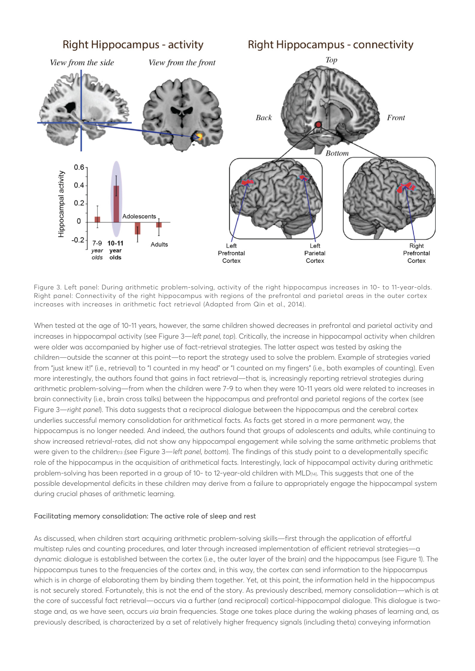![](_page_4_Figure_0.jpeg)

Figure 3. Left panel: During arithmetic problem-solving, activity of the right hippocampus increases in 10- to 11-year-olds. Right panel: Connectivity of the right hippocampus with regions of the prefrontal and parietal areas in the outer cortex increases with increases in arithmetic fact retrieval (Adapted from Qin et al., 2014).

When tested at the age of 10-11 years, however, the same children showed decreases in prefrontal and parietal activity and increases in hippocampal activity (see Figure 3—*left panel, top*). Critically, the increase in hippocampal activity when children were older was accompanied by higher use of fact-retrieval strategies. The latter aspect was tested by asking the children—outside the scanner at this point—to report the strategy used to solve the problem. Example of strategies varied from "just knew it!" (i.e., retrieval) to "I counted in my head" or "I counted on my fingers" (i.e., both examples of counting). Even more interestingly, the authors found that gains in fact retrieval—that is, increasingly reporting retrieval strategies during arithmetic problem-solving—from when the children were 7-9 to when they were 10-11 years old were related to increases in brain connectivity (i.e., brain cross talks) between the hippocampus and prefrontal and parietal regions of the cortex (see Figure 3—*right panel*). This data suggests that a reciprocal dialogue between the hippocampus and the cerebral cortex underlies successful memory consolidation for arithmetical facts. As facts get stored in a more permanent way, the hippocampus is no longer needed. And indeed, the authors found that groups of adolescents and adults, while continuing to show increased retrieval-rates, did not show any hippocampal engagement while solving the same arithmetic problems that were given to the children<sub>13</sub> (see Figure 3—*left panel, bottom*). The findings of this study point to a developmentally specific role of the hippocampus in the acquisition of arithmetical facts. Interestingly, lack of hippocampal activity during arithmetic problem-solving has been reported in a group of 10- to 12-year-old children with MLD[14]. This suggests that one of the possible developmental deficits in these children may derive from a failure to appropriately engage the hippocampal system during crucial phases of arithmetic learning.

### Facilitating memory consolidation: The active role of sleep and rest

As discussed, when children start acquiring arithmetic problem-solving skills—first through the application of effortful multistep rules and counting procedures, and later through increased implementation of efficient retrieval strategies—a dynamic dialogue is established between the cortex (i.e., the outer layer of the brain) and the hippocampus (see Figure 1). The hippocampus tunes to the frequencies of the cortex and, in this way, the cortex can send information to the hippocampus which is in charge of elaborating them by binding them together. Yet, at this point, the information held in the hippocampus is not securely stored. Fortunately, this is not the end of the story. As previously described, memory consolidation—which is at the core of successful fact retrieval—occurs via a further (and reciprocal) cortical-hippocampal dialogue. This dialogue is twostage and, as we have seen, occurs *via* brain frequencies. Stage one takes place during the waking phases of learning and, as previously described, is characterized by a set of relatively higher frequency signals (including theta) conveying information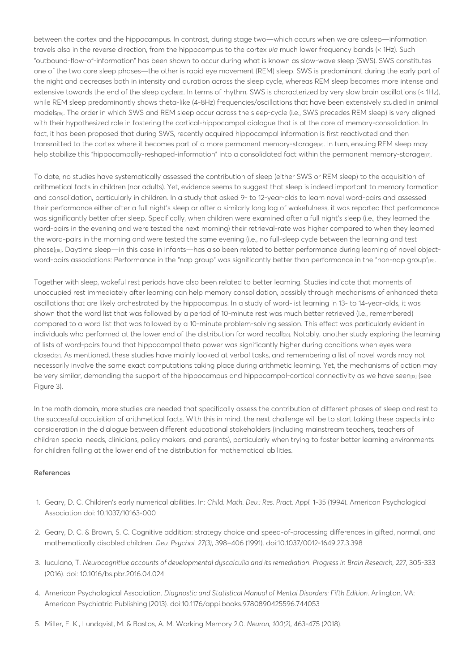between the cortex and the hippocampus. In contrast, during stage two—which occurs when we are asleep—information travels also in the reverse direction, from the hippocampus to the cortex *via* much lower frequency bands (< 1Hz). Such "outbound-flow-of-information" has been shown to occur during what is known as slow-wave sleep (SWS). SWS constitutes one of the two core sleep phases—the other is rapid eye movement (REM) sleep. SWS is predominant during the early part of the night and decreases both in intensity and duration across the sleep cycle, whereas REM sleep becomes more intense and extensive towards the end of the sleep cycle[15]. In terms of rhythm, SWS is characterized by very slow brain oscillations (< 1Hz), while REM sleep predominantly shows theta-like (4-8Hz) frequencies/oscillations that have been extensively studied in animal models[15]. The order in which SWS and REM sleep occur across the sleep-cycle (i.e., SWS precedes REM sleep) is very aligned with their hypothesized role in fostering the cortical-hippocampal dialogue that is at the core of memory-consolidation. In fact, it has been proposed that during SWS, recently acquired hippocampal information is first reactivated and then transmitted to the cortex where it becomes part of a more permanent memory-storagered. In turn, ensuing REM sleep may help stabilize this "hippocampally-reshaped-information" into a consolidated fact within the permanent memory-storage<sub>[17]</sub>.

To date, no studies have systematically assessed the contribution of sleep (either SWS or REM sleep) to the acquisition of arithmetical facts in children (nor adults). Yet, evidence seems to suggest that sleep is indeed important to memory formation and consolidation, particularly in children. In a study that asked 9- to 12-year-olds to learn novel word-pairs and assessed their performance either after a full night's sleep or after a similarly long lag of wakefulness, it was reported that performance was significantly better after sleep. Specifically, when children were examined after a full night's sleep (i.e., they learned the word-pairs in the evening and were tested the next morning) their retrieval-rate was higher compared to when they learned the word-pairs in the morning and were tested the same evening (i.e., no full-sleep cycle between the learning and test phase)[18]. Daytime sleep—in this case in infants—has also been related to better performance during learning of novel objectword-pairs associations: Performance in the "nap group" was significantly better than performance in the "non-nap group"[19].

Together with sleep, wakeful rest periods have also been related to better learning. Studies indicate that moments of unoccupied rest immediately after learning can help memory consolidation, possibly through mechanisms of enhanced theta oscillations that are likely orchestrated by the hippocampus. In a study of word-list learning in 13- to 14-year-olds, it was shown that the word list that was followed by a period of 10-minute rest was much better retrieved (i.e., remembered) compared to a word list that was followed by a 10-minute problem-solving session. This effect was particularly evident in individuals who performed at the lower end of the distribution for word recall[20]. Notably, another study exploring the learning of lists of word-pairs found that hippocampal theta power was significantly higher during conditions when eyes were closed[21]. As mentioned, these studies have mainly looked at verbal tasks, and remembering a list of novel words may not necessarily involve the same exact computations taking place during arithmetic learning. Yet, the mechanisms of action may be very similar, demanding the support of the hippocampus and hippocampal-cortical connectivity as we have seen[13] (see Figure 3).

In the math domain, more studies are needed that specifically assess the contribution of different phases of sleep and rest to the successful acquisition of arithmetical facts. With this in mind, the next challenge will be to start taking these aspects into consideration in the dialogue between different educational stakeholders (including mainstream teachers, teachers of children special needs, clinicians, policy makers, and parents), particularly when trying to foster better learning environments for children falling at the lower end of the distribution for mathematical abilities.

### References

- 1. Geary, D. C. Children's early numerical abilities. In: *Child. Math. Dev.: Res. Pract. Appl.* 1-35 (1994). American Psychological Association doi: 10.1037/10163-000
- 2. Geary, D. C. & Brown, S. C. Cognitive addition: strategy choice and speed-of-processing differences in gifted, normal, and mathematically disabled children. *Dev. Psychol. 27(3)*, 398–406 (1991). doi:10.1037/0012-1649.27.3.398
- 3. Iuculano, T. *Neurocognitive accounts of developmental dyscalculia and its remediation*. *Progress in Brain Research, 227*, 305-333 (2016). doi: 10.1016/bs.pbr.2016.04.024
- 4. American Psychological Association. *Diagnostic and Statistical Manual of Mental Disorders: Fifth Edition*. Arlington, VA: American Psychiatric Publishing (2013). doi:10.1176/appi.books.9780890425596.744053
- 5. Miller, E. K., Lundqvist, M. & Bastos, A. M. Working Memory 2.0. *Neuron, 100(2)*, 463-475 (2018).